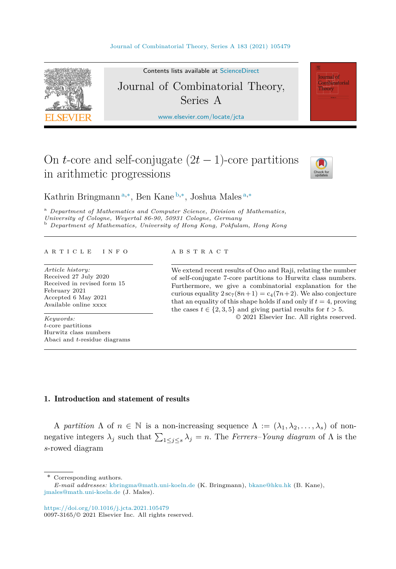

Contents lists available at [ScienceDirect](http://www.ScienceDirect.com/) Journal of Combinatorial Theory, Series A

[www.elsevier.com/locate/jcta](http://www.elsevier.com/locate/jcta)

# On *t*-core and self-conjugate  $(2t - 1)$ -core partitions in arithmetic progressions



**Journal** of Combinatorial Theory

Kathrin Bringmann <sup>a</sup>*,*∗, Ben Kane <sup>b</sup>*,*∗, Joshua Males <sup>a</sup>*,*<sup>∗</sup>

<sup>a</sup> *Department of Mathematics and Computer Science, Division of Mathematics,* b Department of Mathematics, University of Hong Kong, Pokfulam, Hong Kong

#### A R T I C L E I N F O A B S T R A C T

*Article history:* Received 27 July 2020 Received in revised form 15 February 2021 Accepted 6 May 2021 Available online xxxx

*Keywords: t*-core partitions Hurwitz class numbers Abaci and *t*-residue diagrams

We extend recent results of Ono and Raji, relating the number of self-conjugate 7-core partitions to Hurwitz class numbers. Furthermore, we give a combinatorial explanation for the curious equality  $2 \text{ sc}_7(8n+1) = \text{c}_4(7n+2)$ . We also conjecture that an equality of this shape holds if and only if  $t = 4$ , proving the cases  $t \in \{2, 3, 5\}$  and giving partial results for  $t > 5$ .

© 2021 Elsevier Inc. All rights reserved.

### 1. Introduction and statement of results

A *partition*  $\Lambda$  of  $n \in \mathbb{N}$  is a non-increasing sequence  $\Lambda := (\lambda_1, \lambda_2, \ldots, \lambda_s)$  of nonnegative integers  $\lambda_j$  such that  $\sum_{1 \leq j \leq s} \lambda_j = n$ . The *Ferrers–Young diagram* of  $\Lambda$  is the *s*-rowed diagram

\* Corresponding authors.

*E-mail addresses:* [kbringma@math.uni-koeln.de](mailto:kbringma@math.uni-koeln.de) (K. Bringmann), [bkane@hku.hk](mailto:bkane@hku.hk) (B. Kane), [jmales@math.uni-koeln.de](mailto:jmales@math.uni-koeln.de) (J. Males).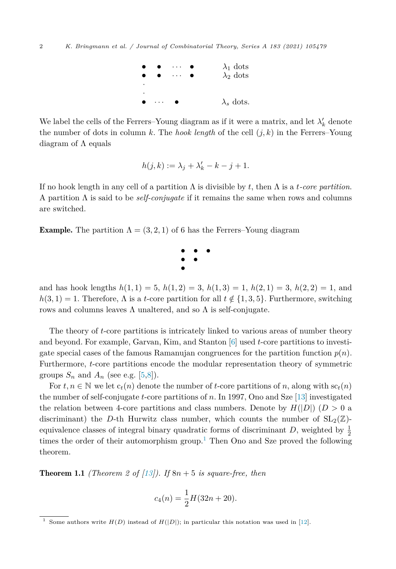

<span id="page-1-0"></span>We label the cells of the Ferrers–Young diagram as if it were a matrix, and let  $\lambda'_k$  denote the number of dots in column *k*. The *hook length* of the cell (*j, k*) in the Ferrers–Young diagram of  $\Lambda$  equals

$$
h(j,k) := \lambda_j + \lambda'_k - k - j + 1.
$$

If no hook length in any cell of a partition Λ is divisible by *t*, then Λ is a *t-core partition*. A partition Λ is said to be *self-conjugate* if it remains the same when rows and columns are switched.

**Example.** The partition  $\Lambda = (3, 2, 1)$  of 6 has the Ferrers–Young diagram



and has hook lengths  $h(1, 1) = 5$ ,  $h(1, 2) = 3$ ,  $h(1, 3) = 1$ ,  $h(2, 1) = 3$ ,  $h(2, 2) = 1$ , and  $h(3,1) = 1$ . Therefore,  $\Lambda$  is a *t*-core partition for all  $t \notin \{1,3,5\}$ . Furthermore, switching rows and columns leaves  $\Lambda$  unaltered, and so  $\Lambda$  is self-conjugate.

The theory of *t*-core partitions is intricately linked to various areas of number theory and beyond. For example, Garvan, Kim, and Stanton [\[6](#page-23-0)] used *t*-core partitions to investigate special cases of the famous Ramanujan congruences for the partition function  $p(n)$ . Furthermore, *t*-core partitions encode the modular representation theory of symmetric groups  $S_n$  and  $A_n$  (see e.g. [[5,8\]](#page-23-0)).

For  $t, n \in \mathbb{N}$  we let  $c_t(n)$  denote the number of *t*-core partitions of *n*, along with  $sc_t(n)$ the number of self-conjugate *t*-core partitions of *n*. In 1997, Ono and Sze [\[13](#page-23-0)] investigated the relation between 4-core partitions and class numbers. Denote by  $H(|D|)$  ( $D > 0$  a discriminant) the *D*-th Hurwitz class number, which counts the number of  $SL_2(\mathbb{Z})$ equivalence classes of integral binary quadratic forms of discriminant *D*, weighted by  $\frac{1}{2}$ times the order of their automorphism group.<sup>1</sup> Then Ono and Sze proved the following theorem.

**Theorem 1.1** *(Theorem 2 of [[13](#page-23-0)]).* If  $8n + 5$  *is square-free, then* 

$$
c_4(n) = \frac{1}{2}H(32n + 20).
$$

<sup>&</sup>lt;sup>1</sup> Some authors write  $H(D)$  instead of  $H(|D|)$ ; in particular this notation was used in [\[12\]](#page-23-0).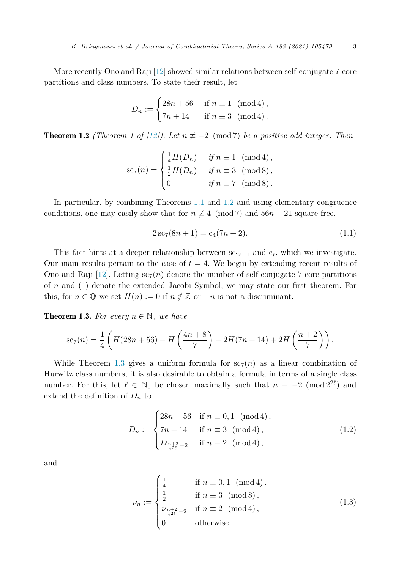<span id="page-2-0"></span>More recently Ono and Raji [\[12\]](#page-23-0) showed similar relations between self-conjugate 7-core partitions and class numbers. To state their result, let

$$
D_n := \begin{cases} 28n + 56 & \text{if } n \equiv 1 \pmod{4}, \\ 7n + 14 & \text{if } n \equiv 3 \pmod{4}. \end{cases}
$$

**Theorem 1.2** *(Theorem 1 of [\[12\]](#page-23-0)).* Let  $n \not\equiv -2 \pmod{7}$  be a positive odd integer. Then

$$
sc_7(n) = \begin{cases} \frac{1}{4}H(D_n) & \text{if } n \equiv 1 \pmod{4}, \\ \frac{1}{2}H(D_n) & \text{if } n \equiv 3 \pmod{8}, \\ 0 & \text{if } n \equiv 7 \pmod{8}. \end{cases}
$$

In particular, by combining Theorems [1.1](#page-1-0) and 1.2 and using elementary congruence conditions, one may easily show that for  $n \not\equiv 4 \pmod{7}$  and  $56n + 21$  square-free,

$$
2\operatorname{sc}_7(8n+1) = \operatorname{c}_4(7n+2). \tag{1.1}
$$

This fact hints at a deeper relationship between  $sc_{2t-1}$  and  $c_t$ , which we investigate. Our main results pertain to the case of  $t = 4$ . We begin by extending recent results of Ono and Raji [\[12](#page-23-0)]. Letting  $sc_7(n)$  denote the number of self-conjugate 7-core partitions of *n* and (:) denote the extended Jacobi Symbol, we may state our first theorem. For this, for  $n \in \mathbb{Q}$  we set  $H(n) := 0$  if  $n \notin \mathbb{Z}$  or  $-n$  is not a discriminant.

**Theorem 1.3.** For every  $n \in \mathbb{N}$ , we have

$$
sc_7(n) = \frac{1}{4} \left( H(28n + 56) - H\left(\frac{4n + 8}{7}\right) - 2H(7n + 14) + 2H\left(\frac{n + 2}{7}\right) \right).
$$

While Theorem 1.3 gives a uniform formula for  $\operatorname{sc}_7(n)$  as a linear combination of Hurwitz class numbers, it is also desirable to obtain a formula in terms of a single class number. For this, let  $\ell \in \mathbb{N}_0$  be chosen maximally such that  $n \equiv -2 \pmod{2^{2\ell}}$  and extend the definition of  $D_n$  to

$$
D_n := \begin{cases} 28n + 56 & \text{if } n \equiv 0, 1 \pmod{4}, \\ 7n + 14 & \text{if } n \equiv 3 \pmod{4}, \\ D_{\frac{n+2}{2^{2\ell}} - 2} & \text{if } n \equiv 2 \pmod{4}, \end{cases}
$$
(1.2)

and

$$
\nu_n := \begin{cases}\n\frac{1}{4} & \text{if } n \equiv 0, 1 \pmod{4}, \\
\frac{1}{2} & \text{if } n \equiv 3 \pmod{8}, \\
\nu_{\frac{n+2}{2^{2\ell}} - 2} & \text{if } n \equiv 2 \pmod{4}, \\
0 & \text{otherwise}.\n\end{cases}
$$
\n(1.3)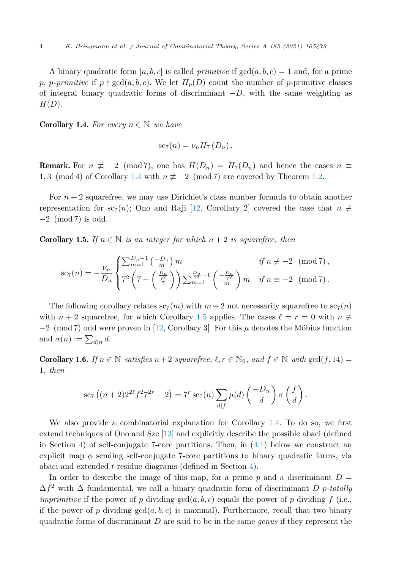<span id="page-3-0"></span>A binary quadratic form  $[a, b, c]$  is called *primitive* if  $gcd(a, b, c) = 1$  and, for a prime  $p, p$ -*primitive* if  $p \nmid \gcd(a, b, c)$ . We let  $H_p(D)$  count the number of *p*-primitive classes of integral binary quadratic forms of discriminant −*D*, with the same weighting as *H*(*D*).

**Corollary 1.4.** For every  $n \in \mathbb{N}$  we have

$$
\mathrm{sc}_{7}(n)=\nu_{n}H_{7}\left(D_{n}\right).
$$

**Remark.** For  $n \not\equiv -2 \pmod{7}$ , one has  $H(D_n) = H_7(D_n)$  and hence the cases  $n \equiv$ 1,3 (mod 4) of Corollary 1.4 with  $n \not\equiv -2 \pmod{7}$  are covered by Theorem [1.2](#page-2-0).

For  $n+2$  squarefree, we may use Dirichlet's class number formula to obtain another representation for sc<sub>7</sub>(*n*); Ono and Raji [[12,](#page-23-0) Corollary 2] covered the case that  $n \neq$ −2 (mod 7) is odd.

**Corollary 1.5.** *If*  $n \in \mathbb{N}$  *is an integer for which*  $n+2$  *is squarefree, then* 

$$
sc_7(n) = -\frac{\nu_n}{D_n} \begin{cases} \sum_{m=1}^{D_n - 1} \left( \frac{-D_n}{m} \right) m & \text{if } n \not\equiv -2 \pmod{7}, \\ 7^2 \left( 7 + \left( \frac{\frac{D_n}{7}}{7} \right) \right) \sum_{m=1}^{\frac{D_n}{7^2} - 1} \left( \frac{-\frac{D_n}{7}}{m} \right) m & \text{if } n \equiv -2 \pmod{7}. \end{cases}
$$

The following corollary relates  $sc_7(m)$  with  $m+2$  not necessarily squarefree to  $sc_7(n)$ with  $n + 2$  squarefree, for which Corollary 1.5 applies. The cases  $\ell = r = 0$  with  $n \neq$ −2 (mod 7) odd were proven in [\[12](#page-23-0), Corollary 3]. For this *μ* denotes the Möbius function and  $\sigma(n) := \sum_{d|n} d$ .

**Corollary 1.6.** *If*  $n \in \mathbb{N}$  *satisfies*  $n+2$  *squarefree,*  $\ell, r \in \mathbb{N}_0$ *, and*  $f \in \mathbb{N}$  *with*  $gcd(f, 14) =$ 1*, then*

$$
\sec_7\left((n+2)2^{2\ell}f^{2}7^{2r}-2\right)=7^r\sec_7(n)\sum_{d\mid f}\mu(d)\left(\frac{-D_n}{d}\right)\sigma\left(\frac{f}{d}\right).
$$

We also provide a combinatorial explanation for Corollary 1.4. To do so, we first extend techniques of Ono and Sze [[13\]](#page-23-0) and explicitly describe the possible abaci (defined in Section [4\)](#page-12-0) of self-conjugate 7-core partitions. Then, in  $(4.1)$  $(4.1)$  below we construct an explicit map  $\phi$  sending self-conjugate 7-core partitions to binary quadratic forms, via abaci and extended *t*-residue diagrams (defined in Section [4\)](#page-12-0).

In order to describe the image of this map, for a prime  $p$  and a discriminant  $D =$  $\Delta f^2$  with  $\Delta$  fundamental, we call a binary quadratic form of discriminant *D p-totally imprimitive* if the power of *p* dividing  $gcd(a, b, c)$  equals the power of *p* dividing *f* (i.e., if the power of p dividing  $gcd(a, b, c)$  is maximal). Furthermore, recall that two binary quadratic forms of discriminant *D* are said to be in the same *genus* if they represent the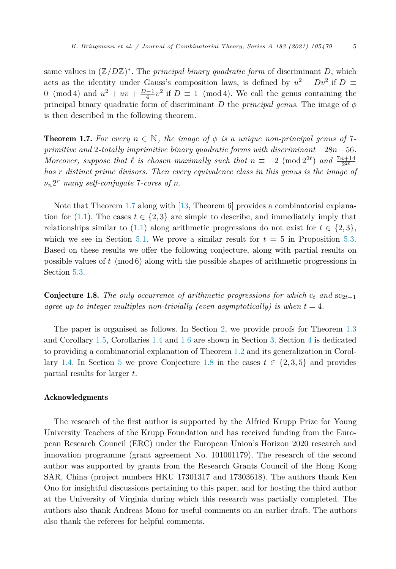<span id="page-4-0"></span>same values in  $(\mathbb{Z}/D\mathbb{Z})^*$ . The *principal binary quadratic form* of discriminant *D*, which acts as the identity under Gauss's composition laws, is defined by  $u^2 + Dv^2$  if  $D \equiv$ 0 (mod 4) and  $u^2 + uv + \frac{D-1}{4}v^2$  if  $D \equiv 1 \pmod{4}$ . We call the genus containing the principal binary quadratic form of discriminant *D* the *principal genus*. The image of *φ* is then described in the following theorem.

**Theorem 1.7.** For every  $n \in \mathbb{N}$ , the *image* of  $\phi$  *is a unique non-principal genus of* 7*primitive and* 2*-totally imprimitive binary quadratic forms with discriminant* −28*n*−56*. Moreover, suppose that*  $\ell$  *is chosen maximally such that*  $n \equiv -2 \pmod{2^{2\ell}}$  *and*  $\frac{7n+14}{2^{2\ell}}$ *has r distinct prime divisors. Then every equivalence class in this genus is the image of νn*2*<sup>r</sup> many self-conjugate* 7*-cores of n.*

Note that Theorem 1.7 along with [\[13](#page-23-0), Theorem 6] provides a combinatorial explana-tion for ([1.1\)](#page-2-0). The cases  $t \in \{2,3\}$  are simple to describe, and immediately imply that relationships similar to ([1.1\)](#page-2-0) along arithmetic progressions do not exist for  $t \in \{2,3\}$ , which we see in Section [5.1](#page-19-0). We prove a similar result for  $t = 5$  in Proposition [5.3](#page-20-0). Based on these results we offer the following conjecture, along with partial results on possible values of *t* (mod 6) along with the possible shapes of arithmetic progressions in Section [5.3](#page-21-0).

**Conjecture 1.8.** The only occurrence of arithmetic progressions for which  $c_t$  and  $sc_{2t-1}$ *agree up to integer multiples non-trivially (even asymptotically) is when t* = 4*.*

The paper is organised as follows. In Section [2,](#page-5-0) we provide proofs for Theorem [1.3](#page-2-0) and Corollary [1.5,](#page-3-0) Corollaries [1.4](#page-3-0) and [1.6](#page-3-0) are shown in Section [3](#page-8-0). Section [4](#page-12-0) is dedicated to providing a combinatorial explanation of Theorem [1.2](#page-2-0) and its generalization in Corol-lary [1.4](#page-3-0). In Section [5](#page-19-0) we prove Conjecture 1.8 in the cases  $t \in \{2,3,5\}$  and provides partial results for larger *t*.

#### Acknowledgments

The research of the first author is supported by the Alfried Krupp Prize for Young University Teachers of the Krupp Foundation and has received funding from the European Research Council (ERC) under the European Union's Horizon 2020 research and innovation programme (grant agreement No. 101001179). The research of the second author was supported by grants from the Research Grants Council of the Hong Kong SAR, China (project numbers HKU 17301317 and 17303618). The authors thank Ken Ono for insightful discussions pertaining to this paper, and for hosting the third author at the University of Virginia during which this research was partially completed. The authors also thank Andreas Mono for useful comments on an earlier draft. The authors also thank the referees for helpful comments.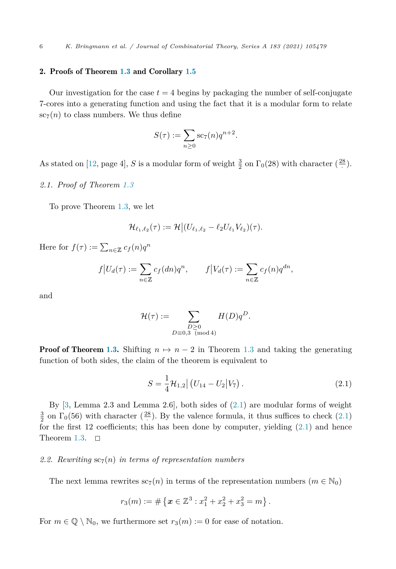#### <span id="page-5-0"></span>2. Proofs of Theorem [1.3](#page-2-0) and Corollary [1.5](#page-3-0)

Our investigation for the case  $t = 4$  begins by packaging the number of self-conjugate 7-cores into a generating function and using the fact that it is a modular form to relate  $\operatorname{sc}_7(n)$  to class numbers. We thus define

$$
S(\tau) := \sum_{n \geq 0} \operatorname{sc}_{7}(n) q^{n+2}.
$$

As stated on [[12,](#page-23-0) page 4], *S* is a modular form of weight  $\frac{3}{2}$  on  $\Gamma_0(28)$  with character  $(\frac{28}{4})$ .

#### *2.1. Proof of Theorem [1.3](#page-2-0)*

To prove Theorem [1.3,](#page-2-0) we let

$$
\mathcal{H}_{\ell_1,\ell_2}(\tau) := \mathcal{H} \big| (U_{\ell_1,\ell_2} - \ell_2 U_{\ell_1} V_{\ell_2})(\tau).
$$

Here for  $f(\tau) := \sum_{n \in \mathbb{Z}} c_f(n) q^n$ 

$$
f|U_d(\tau) := \sum_{n \in \mathbb{Z}} c_f(dn)q^n, \qquad f|V_d(\tau) := \sum_{n \in \mathbb{Z}} c_f(n)q^{dn},
$$

and

$$
\mathcal{H}(\tau) := \sum_{\substack{D \geq 0 \\ D \equiv 0,3 \pmod{4}}} H(D)q^D.
$$

**Proof of Theorem [1.3.](#page-2-0)** Shifting  $n \mapsto n-2$  in Theorem [1.3](#page-2-0) and taking the generating function of both sides, the claim of the theorem is equivalent to

$$
S = \frac{1}{4} \mathcal{H}_{1,2} | \left( U_{14} - U_2 | V_7 \right). \tag{2.1}
$$

By  $[3,$  $[3,$  Lemma 2.3 and Lemma 2.6, both sides of  $(2.1)$  are modular forms of weight  $\frac{3}{2}$  on  $\Gamma_0(56)$  with character  $(\frac{28}{1})$ . By the valence formula, it thus suffices to check  $(2.1)$ for the first 12 coefficients; this has been done by computer, yielding  $(2.1)$  and hence Theorem [1.3.](#page-2-0)  $\Box$ 

#### *2.2. Rewriting* sc7(*n*) *in terms of representation numbers*

The next lemma rewrites  $sc_7(n)$  in terms of the representation numbers ( $m \in \mathbb{N}_0$ )

$$
r_3(m) := \#\left\{ \boldsymbol{x} \in \mathbb{Z}^3 : x_1^2 + x_2^2 + x_3^2 = m \right\}.
$$

For  $m \in \mathbb{Q} \setminus \mathbb{N}_0$ , we furthermore set  $r_3(m) := 0$  for ease of notation.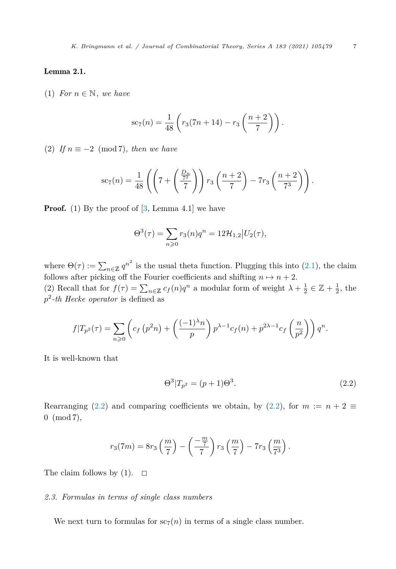## <span id="page-6-0"></span>Lemma 2.1.

(1) *For*  $n \in \mathbb{N}$ *, we have* 

$$
sc_7(n) = \frac{1}{48} \left( r_3(7n + 14) - r_3\left(\frac{n+2}{7}\right) \right).
$$

(2) *If*  $n \equiv -2 \pmod{7}$ *, then we have* 

$$
sc_7(n) = \frac{1}{48} \left( \left( 7 + \left( \frac{\frac{D_n}{7^2}}{7} \right) \right) r_3 \left( \frac{n+2}{7} \right) - 7r_3 \left( \frac{n+2}{7^3} \right) \right).
$$

**Proof.** (1) By the proof of  $[3, \text{Lemma } 4.1]$  $[3, \text{Lemma } 4.1]$  $[3, \text{Lemma } 4.1]$  we have

$$
\Theta^{3}(\tau) = \sum_{n \geq 0} r_{3}(n)q^{n} = 12\mathcal{H}_{1,2} | U_{2}(\tau),
$$

where  $\Theta(\tau) := \sum_{n \in \mathbb{Z}} q^n$  is the usual theta function. Plugging this into ([2.1\)](#page-5-0), the claim follows after picking off the Fourier coefficients and shifting  $n \mapsto n+2$ . (2) Recall that for  $f(\tau) = \sum_{n \in \mathbb{Z}} c_f(n) q^n$  a modular form of weight  $\lambda + \frac{1}{2} \in \mathbb{Z} + \frac{1}{2}$ , the

*p*<sup>2</sup>*-th Hecke operator* is defined as

$$
f|T_{p^2}(\tau) = \sum_{n\geqslant 0} \left( c_f \left( p^2 n \right) + \left( \frac{(-1)^{\lambda} n}{p} \right) p^{\lambda - 1} c_f(n) + p^{2\lambda - 1} c_f \left( \frac{n}{p^2} \right) \right) q^n.
$$

It is well-known that

$$
\Theta^3 | T_{p^2} = (p+1)\Theta^3.
$$
 (2.2)

Rearranging (2.2) and comparing coefficients we obtain, by (2.2), for  $m := n + 2 \equiv$ 0 (mod 7),

$$
r_3(7m) = 8r_3\left(\frac{m}{7}\right) - \left(\frac{-\frac{m}{7}}{7}\right)r_3\left(\frac{m}{7}\right) - 7r_3\left(\frac{m}{7^3}\right).
$$

The claim follows by (1).  $\Box$ 

# *2.3. Formulas in terms of single class numbers*

We next turn to formulas for  $\operatorname{sc}_7(n)$  in terms of a single class number.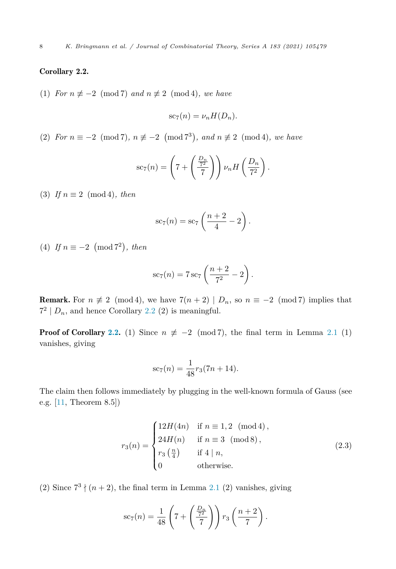### <span id="page-7-0"></span>Corollary 2.2.

(1) *For*  $n \not\equiv -2 \pmod{7}$  *and*  $n \not\equiv 2 \pmod{4}$ *, we have* 

$$
sc_7(n) = \nu_n H(D_n).
$$

(2) *For*  $n \equiv -2 \pmod{7}$ ,  $n \not\equiv -2 \pmod{7^3}$ , and  $n \not\equiv 2 \pmod{4}$ , we have

$$
sc_7(n) = \left(7 + \left(\frac{\frac{D_n}{7^2}}{7}\right)\right)\nu_n H\left(\frac{D_n}{7^2}\right).
$$

(3) *If*  $n \equiv 2 \pmod{4}$ *, then* 

$$
sc_7(n) = sc_7\left(\frac{n+2}{4} - 2\right).
$$

(4) *If*  $n \equiv -2 \pmod{7^2}$ , *then* 

$$
sc_7(n) = 7 sc_7\left(\frac{n+2}{7^2} - 2\right).
$$

**Remark.** For  $n \neq 2 \pmod{4}$ , we have  $7(n+2) | D_n$ , so  $n \equiv -2 \pmod{7}$  implies that  $7^2 | D_n$ , and hence Corollary 2.2 (2) is meaningful.

**Proof of Corollary 2.2.** (1) Since  $n \neq -2 \pmod{7}$ , the final term in Lemma [2.1](#page-6-0) (1) vanishes, giving

$$
sc_7(n) = \frac{1}{48}r_3(7n + 14).
$$

The claim then follows immediately by plugging in the well-known formula of Gauss (see e.g. [[11,](#page-23-0) Theorem 8.5])

$$
r_3(n) = \begin{cases} 12H(4n) & \text{if } n \equiv 1, 2 \pmod{4}, \\ 24H(n) & \text{if } n \equiv 3 \pmod{8}, \\ r_3\left(\frac{n}{4}\right) & \text{if } 4 \mid n, \\ 0 & \text{otherwise.} \end{cases}
$$
 (2.3)

(2) Since  $7^3 \nmid (n+2)$ , the final term in Lemma [2.1](#page-6-0) (2) vanishes, giving

$$
sc_7(n) = \frac{1}{48} \left( 7 + \left( \frac{\frac{D_n}{7^2}}{7} \right) \right) r_3 \left( \frac{n+2}{7} \right).
$$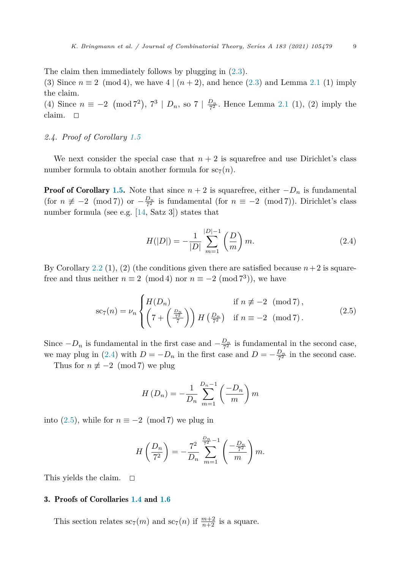<span id="page-8-0"></span>The claim then immediately follows by plugging in  $(2.3)$ .

(3) Since  $n \equiv 2 \pmod{4}$ , we have  $4 \mid (n+2)$ , and hence ([2.3\)](#page-7-0) and Lemma [2.1](#page-6-0) (1) imply the claim.

(4) Since  $n \equiv -2 \pmod{7^2}$ ,  $7^3 | D_n$ , so  $7 | \frac{D_n}{7^2}$ . Hence Lemma [2.1](#page-6-0) (1), (2) imply the claim.  $\square$ 

# *2.4. Proof of Corollary [1.5](#page-3-0)*

We next consider the special case that  $n + 2$  is squarefree and use Dirichlet's class number formula to obtain another formula for  $\operatorname{sc}_7(n)$ .

**Proof of Corollary [1.5](#page-3-0).** Note that since  $n + 2$  is squarefree, either  $-D_n$  is fundamental (for  $n \not\equiv -2 \pmod{7}$ ) or  $-\frac{D_n}{7^2}$  is fundamental (for  $n \equiv -2 \pmod{7}$ ). Dirichlet's class number formula (see e.g. [[14,](#page-23-0) Satz 3]) states that

$$
H(|D|) = -\frac{1}{|D|} \sum_{m=1}^{|D|-1} \left(\frac{D}{m}\right) m.
$$
 (2.4)

By Corollary [2.2](#page-7-0) (1), (2) (the conditions given there are satisfied because  $n+2$  is squarefree and thus neither  $n \equiv 2 \pmod{4}$  nor  $n \equiv -2 \pmod{7^3}$ , we have

$$
sc_7(n) = \nu_n \left\{ \begin{aligned} H(D_n) & \text{if } n \not\equiv -2 \pmod{7}, \\ \left(7 + \left(\frac{D_n}{7}\right)\right) H\left(\frac{D_n}{7^2}\right) & \text{if } n \equiv -2 \pmod{7}. \end{aligned} \right. \tag{2.5}
$$

Since  $-D_n$  is fundamental in the first case and  $-\frac{D_n}{7^2}$  is fundamental in the second case, we may plug in (2.4) with  $D = -D_n$  in the first case and  $D = -\frac{D_n}{7^2}$  in the second case.

Thus for  $n \not\equiv -2 \pmod{7}$  we plug

$$
H(D_n) = -\frac{1}{D_n} \sum_{m=1}^{D_n - 1} \left( \frac{-D_n}{m} \right) m
$$

into (2.5), while for  $n \equiv -2 \pmod{7}$  we plug in

$$
H\left(\frac{D_n}{7^2}\right) = -\frac{7^2}{D_n} \sum_{m=1}^{\frac{D_n}{7^2}-1} \left(\frac{-\frac{D_n}{7^2}}{m}\right) m.
$$

This yields the claim.  $\Box$ 

# 3. Proofs of Corollaries [1.4](#page-3-0) and [1.6](#page-3-0)

This section relates  $\operatorname{sc}_7(m)$  and  $\operatorname{sc}_7(n)$  if  $\frac{m+2}{n+2}$  is a square.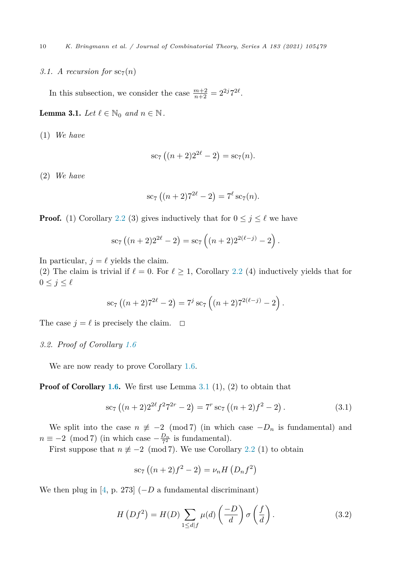# <span id="page-9-0"></span>3.1. *A recursion for*  $\operatorname{sc}_7(n)$

In this subsection, we consider the case  $\frac{m+2}{n+2} = 2^{2j}7^{2\ell}$ .

**Lemma 3.1.** *Let*  $\ell \in \mathbb{N}_0$  *and*  $n \in \mathbb{N}$ *.* 

(1) *We have*

$$
sc_7((n+2)2^{2\ell}-2) = sc_7(n).
$$

(2) *We have*

$$
sc_7((n+2)7^{2\ell}-2) = 7^{\ell} sc_7(n).
$$

**Proof.** (1) Corollary [2.2](#page-7-0) (3) gives inductively that for  $0 \leq j \leq \ell$  we have

$$
sc_7\left((n+2)2^{2\ell}-2\right)=sc_7\left((n+2)2^{2(\ell-j)}-2\right).
$$

In particular,  $j = \ell$  yields the claim.

(2) The claim is trivial if  $\ell = 0$ . For  $\ell \geq 1$ , Corollary [2.2](#page-7-0) (4) inductively yields that for  $0 \leq j \leq \ell$ 

$$
sc_7\left((n+2)7^{2\ell}-2\right) = 7^j sc_7\left((n+2)7^{2(\ell-j)}-2\right).
$$

The case  $j = \ell$  is precisely the claim.  $\Box$ 

# *3.2. Proof of Corollary [1.6](#page-3-0)*

We are now ready to prove Corollary [1.6](#page-3-0).

**Proof of Corollary [1.6.](#page-3-0)** We first use Lemma  $3.1$  (1), (2) to obtain that

$$
sc_7\left((n+2)2^{2\ell}f^27^{2r}-2\right) = 7^r sc_7\left((n+2)f^2-2\right). \tag{3.1}
$$

We split into the case  $n \neq -2 \pmod{7}$  (in which case  $-D_n$  is fundamental) and  $n \equiv -2 \pmod{7}$  (in which case  $-\frac{D_n}{7^2}$  is fundamental).

First suppose that  $n \neq -2 \pmod{7}$ . We use Corollary [2.2](#page-7-0) (1) to obtain

$$
sc_7 ((n + 2)f^{2} - 2) = \nu_n H (D_n f^{2})
$$

We then plug in [\[4,](#page-23-0) p. 273]  $(-D \text{ a fundamental discriminant})$ 

$$
H(Df^{2}) = H(D) \sum_{1 \le d \mid f} \mu(d) \left(\frac{-D}{d}\right) \sigma\left(\frac{f}{d}\right). \tag{3.2}
$$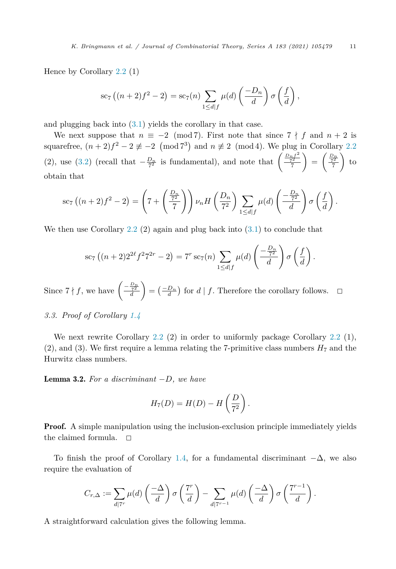<span id="page-10-0"></span>Hence by Corollary [2.2](#page-7-0) (1)

$$
\sec_7\left((n+2)f^2-2\right)=\sec_7(n)\sum_{1\leq d|f}\mu(d)\left(\frac{-D_n}{d}\right)\sigma\left(\frac{f}{d}\right),\,
$$

and plugging back into ([3.1\)](#page-9-0) yields the corollary in that case.

We next suppose that  $n \equiv -2 \pmod{7}$ . First note that since  $7 \nmid f$  and  $n + 2$  is squarefree,  $(n+2)f^2 - 2 \not\equiv -2 \pmod{7^3}$  and  $n \not\equiv 2 \pmod{4}$ . We plug in Corollary [2.2](#page-7-0) (2), use [\(3.2](#page-9-0)) (recall that  $-\frac{D_n}{7^2}$  is fundamental), and note that  $\left(\frac{\frac{D_n f^2}{7^2}}{7}\right)$  $\Bigg) = \Bigg( \frac{\frac{D_n}{7^2}}{7}$  $\Big)$  to obtain that

$$
\sec_7\left((n+2)f^2-2\right) = \left(7+\left(\frac{\frac{D_n}{7^2}}{7}\right)\right)\nu_n H\left(\frac{D_n}{7^2}\right) \sum_{1\leq d|f} \mu(d) \left(\frac{-\frac{D_n}{7^2}}{d}\right) \sigma\left(\frac{f}{d}\right).
$$

We then use Corollary  $2.2$  (2) again and plug back into  $(3.1)$  $(3.1)$  to conclude that

$$
\sec_7\left((n+2)2^{2\ell}f^27^{2r}-2\right)=7^r\sec_7(n)\sum_{1\leq d\mid f}\mu(d)\left(\frac{-\frac{D_n}{7^2}}{d}\right)\sigma\left(\frac{f}{d}\right)
$$

*.*

Since  $7 \nmid f$ , we have  $\left( \frac{-\frac{D_n}{7^2}}{d} \right)$  $\left( \frac{-D_n}{d} \right)$  for  $d \mid f$ . Therefore the corollary follows.  $\Box$  $\Box$ 

# *3.3. Proof of Corollary [1.4](#page-3-0)*

We next rewrite Corollary [2.2](#page-7-0) (2) in order to uniformly package Corollary 2.2 (1), (2), and (3). We first require a lemma relating the 7-primitive class numbers  $H_7$  and the Hurwitz class numbers.

Lemma 3.2. *For a discriminant* −*D, we have*

$$
H_7(D) = H(D) - H\left(\frac{D}{7^2}\right).
$$

**Proof.** A simple manipulation using the inclusion-exclusion principle immediately yields the claimed formula.  $\square$ 

To finish the proof of Corollary [1.4](#page-3-0), for a fundamental discriminant  $-\Delta$ , we also require the evaluation of

$$
C_{r,\Delta} := \sum_{d|7^r} \mu(d) \left(\frac{-\Delta}{d}\right) \sigma\left(\frac{7^r}{d}\right) - \sum_{d|7^{r-1}} \mu(d) \left(\frac{-\Delta}{d}\right) \sigma\left(\frac{7^{r-1}}{d}\right).
$$

A straightforward calculation gives the following lemma.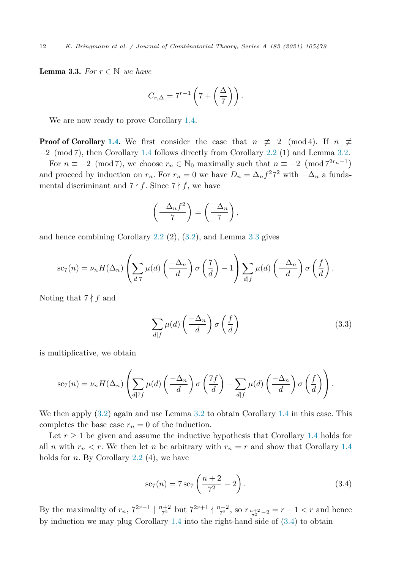<span id="page-11-0"></span>**Lemma 3.3.** *For*  $r \in \mathbb{N}$  *we have* 

$$
C_{r,\Delta} = 7^{r-1} \left( 7 + \left( \frac{\Delta}{7} \right) \right).
$$

We are now ready to prove Corollary [1.4](#page-3-0).

**Proof of Corollary [1.4.](#page-3-0)** We first consider the case that  $n \neq 2 \pmod{4}$ . If  $n \neq 1$ −2 (mod 7), then Corollary [1.4](#page-3-0) follows directly from Corollary [2.2](#page-7-0) (1) and Lemma [3.2.](#page-10-0)

For  $n \equiv -2 \pmod{7}$ , we choose  $r_n \in \mathbb{N}_0$  maximally such that  $n \equiv -2 \pmod{7^{2r_n+1}}$ and proceed by induction on  $r_n$ . For  $r_n = 0$  we have  $D_n = \Delta_n f^2 7^2$  with  $-\Delta_n$  a fundamental discriminant and  $7 \nmid f$ . Since  $7 \nmid f$ , we have

$$
\left(\frac{-\Delta_n f^2}{7}\right) = \left(\frac{-\Delta_n}{7}\right),\,
$$

and hence combining Corollary [2.2](#page-7-0) (2), [\(3.2\)](#page-9-0), and Lemma 3.3 gives

$$
\mathrm{sc}_{7}(n) = \nu_{n} H(\Delta_{n}) \left( \sum_{d|7} \mu(d) \left( \frac{-\Delta_{n}}{d} \right) \sigma\left(\frac{7}{d}\right) - 1 \right) \sum_{d|f} \mu(d) \left( \frac{-\Delta_{n}}{d} \right) \sigma\left(\frac{f}{d}\right).
$$

Noting that  $7 \nmid f$  and

$$
\sum_{d|f} \mu(d) \left(\frac{-\Delta_n}{d}\right) \sigma\left(\frac{f}{d}\right) \tag{3.3}
$$

is multiplicative, we obtain

$$
\mathrm{sc}_{7}(n) = \nu_{n} H(\Delta_{n}) \left( \sum_{d|7f} \mu(d) \left( \frac{-\Delta_{n}}{d} \right) \sigma \left( \frac{7f}{d} \right) - \sum_{d|f} \mu(d) \left( \frac{-\Delta_{n}}{d} \right) \sigma \left( \frac{f}{d} \right) \right).
$$

We then apply  $(3.2)$  $(3.2)$  again and use Lemma [3.2](#page-10-0) to obtain Corollary [1.4](#page-3-0) in this case. This completes the base case  $r_n = 0$  of the induction.

Let  $r \geq 1$  be given and assume the inductive hypothesis that Corollary [1.4](#page-3-0) holds for all *n* with  $r_n < r$ . We then let *n* be arbitrary with  $r_n = r$  and show that Corollary [1.4](#page-3-0) holds for *n*. By Corollary [2.2](#page-7-0) (4), we have

$$
sc_7(n) = 7sc_7\left(\frac{n+2}{7^2} - 2\right).
$$
 (3.4)

By the maximality of  $r_n$ ,  $7^{2r-1}$  |  $\frac{n+2}{7^2}$  but  $7^{2r+1}$  |  $\frac{n+2}{7^2}$ , so  $r_{\frac{n+2}{7^2}-2} = r - 1 < r$  and hence by induction we may plug Corollary [1.4](#page-3-0) into the right-hand side of (3.4) to obtain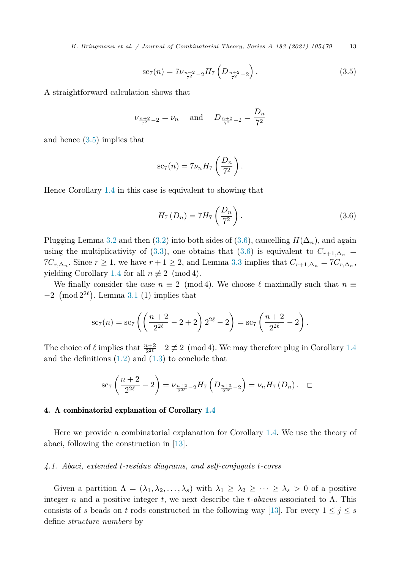<span id="page-12-0"></span>*K. Bringmann et al. / Journal of Combinatorial Theory, Series A 183 (2021) 105479* 13

$$
sc_7(n) = 7\nu_{\frac{n+2}{7^2} - 2} H_7\left(D_{\frac{n+2}{7^2} - 2}\right).
$$
\n(3.5)

A straightforward calculation shows that

$$
\nu_{\frac{n+2}{7^2}-2} = \nu_n \quad \text{and} \quad D_{\frac{n+2}{7^2}-2} = \frac{D_n}{7^2}
$$

and hence (3.5) implies that

$$
sc_7(n) = 7\nu_n H_7\left(\frac{D_n}{7^2}\right).
$$

Hence Corollary [1.4](#page-3-0) in this case is equivalent to showing that

$$
H_7(D_n) = 7H_7\left(\frac{D_n}{7^2}\right). \tag{3.6}
$$

Plugging Lemma [3.2](#page-10-0) and then ([3.2\)](#page-9-0) into both sides of (3.6), cancelling  $H(\Delta_n)$ , and again using the multiplicativity of [\(3.3\)](#page-11-0), one obtains that (3.6) is equivalent to  $C_{r+1,\Delta_n}$  $7C_{r,\Delta_n}$ . Since  $r \geq 1$ , we have  $r+1 \geq 2$ , and Lemma [3.3](#page-11-0) implies that  $C_{r+1,\Delta_n} = 7C_{r,\Delta_n}$ , yielding Corollary [1.4](#page-3-0) for all  $n \not\equiv 2 \pmod{4}$ .

We finally consider the case  $n \equiv 2 \pmod{4}$ . We choose  $\ell$  maximally such that  $n \equiv$  $-2 \pmod{2^{2\ell}}$ . Lemma [3.1](#page-9-0) (1) implies that

$$
sc_7(n) = sc_7\left(\left(\frac{n+2}{2^{2\ell}}-2+2\right)2^{2\ell}-2\right) = sc_7\left(\frac{n+2}{2^{2\ell}}-2\right).
$$

The choice of  $\ell$  implies that  $\frac{n+2}{2^{\ell}}-2 \not\equiv 2 \pmod{4}$ . We may therefore plug in Corollary [1.4](#page-3-0) and the definitions  $(1.2)$  $(1.2)$  and  $(1.3)$  $(1.3)$  $(1.3)$  to conclude that

$$
\mathrm{sc}_{7}\left(\frac{n+2}{2^{2\ell}}-2\right)=\nu_{\frac{n+2}{2^{2\ell}}-2}H_{7}\left(D_{\frac{n+2}{2^{2\ell}}-2}\right)=\nu_{n}H_{7}\left(D_{n}\right).\quad \Box
$$

#### 4. A combinatorial explanation of Corollary [1.4](#page-3-0)

Here we provide a combinatorial explanation for Corollary [1.4](#page-3-0). We use the theory of abaci, following the construction in [\[13](#page-23-0)].

#### *4.1. Abaci, extended t-residue diagrams, and self-conjugate t-cores*

Given a partition  $\Lambda = (\lambda_1, \lambda_2, \ldots, \lambda_s)$  with  $\lambda_1 \geq \lambda_2 \geq \cdots \geq \lambda_s > 0$  of a positive integer *n* and a positive integer *t*, we next describe the *t-abacus* associated to Λ. This consists of *s* beads on *t* rods constructed in the following way [\[13](#page-23-0)]. For every  $1 \leq j \leq s$ define *structure numbers* by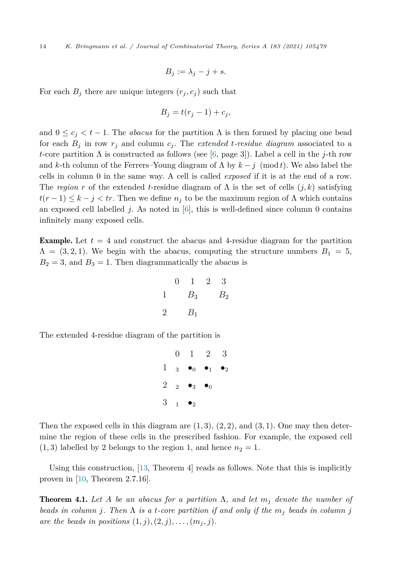14 *K. Bringmann et al. / Journal of Combinatorial Theory, Series A 183 (2021) 105479*

$$
B_j := \lambda_j - j + s.
$$

For each  $B_j$  there are unique integers  $(r_j, c_j)$  such that

$$
B_j = t(r_j - 1) + c_j,
$$

and  $0 \leq c_j < t - 1$ . The *abacus* for the partition  $\Lambda$  is then formed by placing one bead for each  $B_j$  in row  $r_j$  and column  $c_j$ . The *extended t-residue diagram* associated to a *t*-core partition Λ is constructed as follows (see [\[6](#page-23-0), page 3]). Label a cell in the *j*-th row and *k*-th column of the Ferrers–Young diagram of  $\Lambda$  by  $k - j \pmod{t}$ . We also label the cells in column 0 in the same way. A cell is called *exposed* if it is at the end of a row. The *region r* of the extended *t*-residue diagram of  $\Lambda$  is the set of cells  $(j, k)$  satisfying  $t(r-1) \leq k - j < tr$ . Then we define  $n_j$  to be the maximum region of  $\Lambda$  which contains an exposed cell labelled *j*. As noted in [\[6\]](#page-23-0), this is well-defined since column 0 contains infinitely many exposed cells.

**Example.** Let  $t = 4$  and construct the abacus and 4-residue diagram for the partition  $\Lambda = (3, 2, 1)$ . We begin with the abacus, computing the structure numbers  $B_1 = 5$ ,  $B_2 = 3$ , and  $B_3 = 1$ . Then diagrammatically the abacus is

$$
\begin{array}{cccc}\n & 0 & 1 & 2 & 3 \\
1 & B_3 & B_2 \\
2 & B_1 & \n\end{array}
$$

The extended 4-residue diagram of the partition is

$$
\begin{array}{cccc}\n0 & 1 & 2 & 3 \\
1 & 3 & \bullet_0 & \bullet_1 & \bullet_2 \\
2 & 2 & \bullet_3 & \bullet_0 \\
3 & 1 & \bullet_2\n\end{array}
$$

Then the exposed cells in this diagram are  $(1,3)$ ,  $(2,2)$ , and  $(3,1)$ . One may then determine the region of these cells in the prescribed fashion. For example, the exposed cell  $(1,3)$  labelled by 2 belongs to the region 1, and hence  $n_2 = 1$ .

Using this construction, [\[13](#page-23-0), Theorem 4] reads as follows. Note that this is implicitly proven in  $[10,$  $[10,$  Theorem 2.7.16.

**Theorem 4.1.** Let A be an abacus for a partition  $\Lambda$ , and let  $m_j$  denote the number of beads in column j. Then  $\Lambda$  is a t-core partition if and only if the  $m_i$  beads in column j *are the beads in positions*  $(1, j), (2, j), \ldots, (m_j, j)$ *.*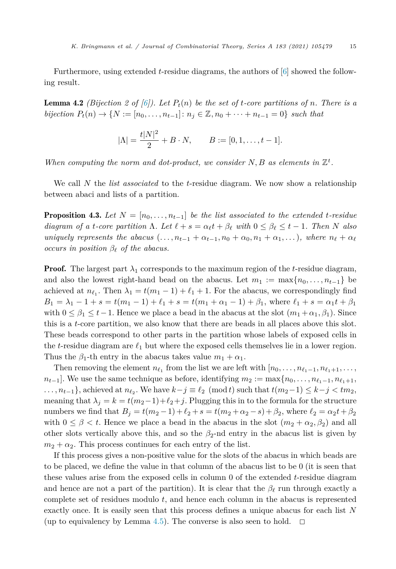<span id="page-14-0"></span>Furthermore, using extended *t*-residue diagrams, the authors of [[6\]](#page-23-0) showed the following result.

**Lemma 4.2** (Bijection 2 of [[6\]](#page-23-0)). Let  $P_t(n)$  be the set of t-core partitions of n. There is a *bijection*  $P_t(n) \to \{N := [n_0, \ldots, n_{t-1}] : n_j \in \mathbb{Z}, n_0 + \cdots + n_{t-1} = 0\}$  such that

$$
|\Lambda| = \frac{t|N|^2}{2} + B \cdot N
$$
,  $B := [0, 1, ..., t-1]$ .

*When computing the norm and dot-product, we consider*  $N, B$  *as elements in*  $\mathbb{Z}^t$ *.* 

We call *N* the *list associated* to the *t*-residue diagram. We now show a relationship between abaci and lists of a partition.

**Proposition 4.3.** Let  $N = [n_0, \ldots, n_{t-1}]$  be the list associated to the extended *t*-residue diagram of a t-core partition  $\Lambda$ . Let  $\ell + s = \alpha_{\ell} t + \beta_{\ell}$  with  $0 \leq \beta_{\ell} \leq t - 1$ . Then N also uniquely represents the abacus  $(\ldots,n_{t-1}+\alpha_{t-1},n_0+\alpha_0,n_1+\alpha_1,\ldots)$ , where  $n_\ell+\alpha_\ell$ *occurs in position*  $\beta_{\ell}$  *of the abacus.* 

**Proof.** The largest part  $\lambda_1$  corresponds to the maximum region of the *t*-residue diagram, and also the lowest right-hand bead on the abacus. Let  $m_1 := \max\{n_0, \ldots, n_{t-1}\}\$  be achieved at  $n_{\ell_1}$ . Then  $\lambda_1 = t(m_1 - 1) + \ell_1 + 1$ . For the abacus, we correspondingly find  $B_1 = \lambda_1 - 1 + s = t(m_1 - 1) + \ell_1 + s = t(m_1 + \alpha_1 - 1) + \beta_1$ , where  $\ell_1 + s = \alpha_1 t + \beta_1$ with  $0 \leq \beta_1 \leq t-1$ . Hence we place a bead in the abacus at the slot  $(m_1 + \alpha_1, \beta_1)$ . Since this is a *t*-core partition, we also know that there are beads in all places above this slot. These beads correspond to other parts in the partition whose labels of exposed cells in the *t*-residue diagram are  $\ell_1$  but where the exposed cells themselves lie in a lower region. Thus the  $\beta_1$ -th entry in the abacus takes value  $m_1 + \alpha_1$ .

Then removing the element  $n_{\ell_1}$  from the list we are left with  $[n_0, \ldots, n_{\ell_1-1}, n_{\ell_1+1}, \ldots,$ *n*<sub>t−1</sub>. We use the same technique as before, identifying  $m_2 := \max\{n_0, \ldots, n_{\ell_1-1}, n_{\ell_1+1},\}$  $\dots, n_{t-1}$ }, achieved at  $n_{\ell_2}$ . We have  $k - j \equiv \ell_2 \pmod{t}$  such that  $t(m_2 - 1) \leq k - j < tm_2$ , meaning that  $\lambda_j = k = t(m_2-1)+\ell_2+j$ . Plugging this in to the formula for the structure numbers we find that  $B_j = t(m_2 - 1) + t_2 + s = t(m_2 + \alpha_2 - s) + \beta_2$ , where  $t_2 = \alpha_2 t + \beta_2$ with  $0 \leq \beta < t$ . Hence we place a bead in the abacus in the slot  $(m_2 + \alpha_2, \beta_2)$  and all other slots vertically above this, and so the  $\beta_2$ -nd entry in the abacus list is given by  $m_2 + \alpha_2$ . This process continues for each entry of the list.

If this process gives a non-positive value for the slots of the abacus in which beads are to be placed, we define the value in that column of the abacus list to be 0 (it is seen that these values arise from the exposed cells in column 0 of the extended *t*-residue diagram and hence are not a part of the partition). It is clear that the  $\beta_{\ell}$  run through exactly a complete set of residues modulo *t*, and hence each column in the abacus is represented exactly once. It is easily seen that this process defines a unique abacus for each list *N* (up to equivalency by Lemma [4.5\)](#page-15-0). The converse is also seen to hold.  $\Box$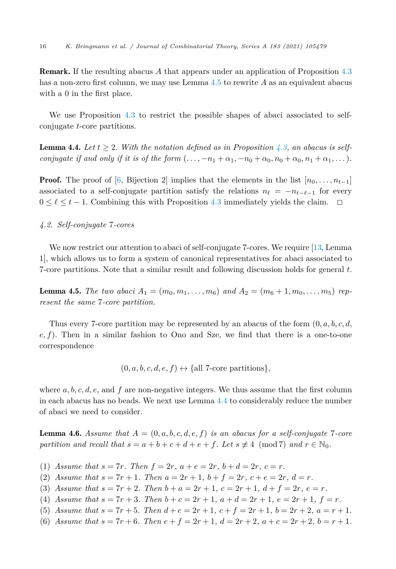<span id="page-15-0"></span>Remark. If the resulting abacus *A* that appears under an application of Proposition [4.3](#page-14-0) has a non-zero first column, we may use Lemma 4.5 to rewrite *A* as an equivalent abacus with a 0 in the first place.

We use Proposition [4.3](#page-14-0) to restrict the possible shapes of abaci associated to selfconjugate *t*-core partitions.

**Lemma 4.4.** Let  $t \geq 2$ . With the notation defined as in Proposition [4.3,](#page-14-0) an abacus is selfconjugate if and only if it is of the form  $(\ldots, -n_1 + \alpha_1, -n_0 + \alpha_0, n_0 + \alpha_0, n_1 + \alpha_1, \ldots)$ .

**Proof.** The proof of [[6,](#page-23-0) Bijection 2] implies that the elements in the list  $[n_0, \ldots, n_{t-1}]$ associated to a self-conjugate partition satisfy the relations  $n_{\ell} = -n_{t-\ell-1}$  for every  $0 \leq \ell \leq t-1$ . Combining this with Proposition [4.3](#page-14-0) immediately yields the claim.  $\Box$ 

# *4.2. Self-conjugate* 7*-cores*

We now restrict our attention to abaci of self-conjugate 7-cores. We require [\[13,](#page-23-0) Lemma 1], which allows us to form a system of canonical representatives for abaci associated to 7-core partitions. Note that a similar result and following discussion holds for general *t*.

**Lemma 4.5.** The two abaci  $A_1 = (m_0, m_1, \ldots, m_6)$  and  $A_2 = (m_6 + 1, m_0, \ldots, m_5)$  rep*resent the same* 7*-core partition.*

Thus every 7-core partition may be represented by an abacus of the form  $(0, a, b, c, d, c)$ *e, f*). Then in a similar fashion to Ono and Sze, we find that there is a one-to-one correspondence

 $(0, a, b, c, d, e, f) \leftrightarrow \{\text{all 7-core partitions}\}\,$ 

where  $a, b, c, d, e$ , and  $f$  are non-negative integers. We thus assume that the first column in each abacus has no beads. We next use Lemma 4.4 to considerably reduce the number of abaci we need to consider.

**Lemma 4.6.** Assume that  $A = (0, a, b, c, d, e, f)$  is an abacus for a self-conjugate 7-core *partition* and recall that  $s = a + b + c + d + e + f$ . Let  $s \not\equiv 4 \pmod{7}$  and  $r \in \mathbb{N}_0$ .

- (1) Assume that  $s = 7r$ . Then  $f = 2r$ ,  $a + e = 2r$ ,  $b + d = 2r$ ,  $c = r$ .
- (2) Assume that  $s = 7r + 1$ . Then  $a = 2r + 1$ ,  $b + f = 2r$ ,  $c + e = 2r$ ,  $d = r$ .
- (3) Assume that  $s = 7r + 2$ . Then  $b + a = 2r + 1$ ,  $c = 2r + 1$ ,  $d + f = 2r$ ,  $e = r$ .
- (4) Assume that  $s = 7r + 3$ . Then  $b + c = 2r + 1$ ,  $a + d = 2r + 1$ ,  $e = 2r + 1$ ,  $f = r$ .
- (5) Assume that  $s = 7r + 5$ . Then  $d+e = 2r + 1$ ,  $c+f = 2r + 1$ ,  $b = 2r + 2$ ,  $a = r + 1$ .
- (6) Assume that  $s = 7r + 6$ . Then  $e + f = 2r + 1$ ,  $d = 2r + 2$ ,  $a + c = 2r + 2$ ,  $b = r + 1$ .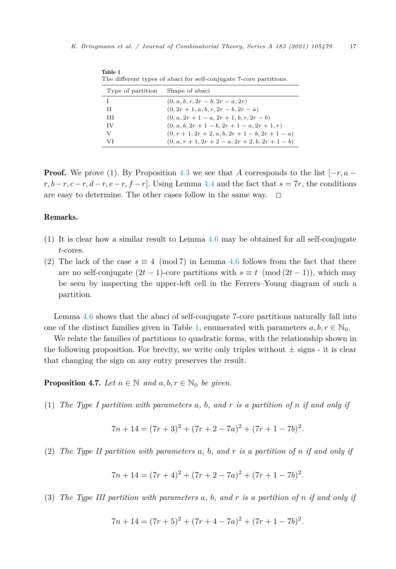| The different types of abact for sen-conjugate <i>i</i> -core partitions. |                                                    |
|---------------------------------------------------------------------------|----------------------------------------------------|
| Type of partition                                                         | Shape of abaci                                     |
|                                                                           | $(0, a, b, r, 2r - b, 2r - a, 2r)$                 |
| Н                                                                         | $(0, 2r+1, a, b, r, 2r-b, 2r-a)$                   |
| Ш                                                                         | $(0, a, 2r+1-a, 2r+1, b, r, 2r-b)$                 |
| IV                                                                        | $(0, a, b, 2r + 1 - b, 2r + 1 - a, 2r + 1, r)$     |
| V                                                                         | $(0, r+1, 2r+2, a, b, 2r+1-b, 2r+1-a)$             |
| VI                                                                        | $(0, a, r + 1, 2r + 2 - a, 2r + 2, b, 2r + 1 - b)$ |

<span id="page-16-0"></span>Table 1 The different types of abaci for self-conjugate 7-core partitions.

**Proof.** We prove (1). By Proposition [4.3](#page-14-0) we see that *A* corresponds to the list  $[-r, a$  $r, b-r, c-r, d-r, e-r, f-r$ . Using Lemma [4.4](#page-15-0) and the fact that  $s = 7r$ , the conditions are easy to determine. The other cases follow in the same way.  $\Box$ 

# Remarks.

- (1) It is clear how a similar result to Lemma [4.6](#page-15-0) may be obtained for all self-conjugate *t*-cores.
- (2) The lack of the case  $s \equiv 4 \pmod{7}$  in Lemma [4.6](#page-15-0) follows from the fact that there are no self-conjugate  $(2t - 1)$ -core partitions with  $s \equiv t \pmod{(2t - 1)}$ , which may be seen by inspecting the upper-left cell in the Ferrers–Young diagram of such a partition.

Lemma [4.6](#page-15-0) shows that the abaci of self-conjugate 7-core partitions naturally fall into one of the distinct families given in Table 1, enumerated with parameters  $a, b, r \in \mathbb{N}_0$ .

We relate the families of partitions to quadratic forms, with the relationship shown in the following proposition. For brevity, we write only triples without  $\pm$  signs - it is clear that changing the sign on any entry preserves the result.

**Proposition 4.7.** *Let*  $n \in \mathbb{N}$  *and*  $a, b, r \in \mathbb{N}$  *be given.* 

(1) The Type I partition with parameters  $a, b, and r$  is a partition of n if and only if

$$
7n + 14 = (7r + 3)^{2} + (7r + 2 - 7a)^{2} + (7r + 1 - 7b)^{2}.
$$

(2) The Type II partition with parameters  $a, b, and r$  is a partition of n if and only if

$$
7n + 14 = (7r + 4)^2 + (7r + 2 - 7a)^2 + (7r + 1 - 7b)^2.
$$

(3) The Type III partition with parameters a, b, and r is a partition of n if and only if

$$
7n + 14 = (7r + 5)^2 + (7r + 4 - 7a)^2 + (7r + 1 - 7b)^2.
$$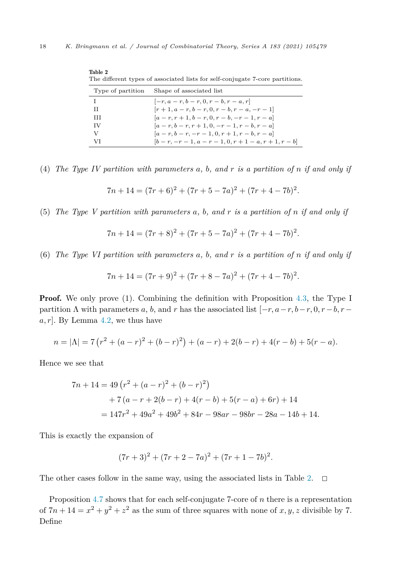| The different types of associated lists for self-conjugate 7-core partitions. |                                                          |
|-------------------------------------------------------------------------------|----------------------------------------------------------|
| Type of partition                                                             | Shape of associated list                                 |
|                                                                               | $[-r, a-r, b-r, 0, r-b, r-a, r]$                         |
| Н                                                                             | $[r+1, a-r, b-r, 0, r-b, r-a, -r-1]$                     |
| ш                                                                             | $[a - r, r + 1, b - r, 0, r - b, -r - 1, r - a]$         |
| IV                                                                            | $[a - r, b - r, r + 1, 0, -r - 1, r - b, r - a]$         |
| V                                                                             | $[a - r, b - r, -r - 1, 0, r + 1, r - b, r - a]$         |
| VI                                                                            | $[b - r, -r - 1, a - r - 1, 0, r + 1 - a, r + 1, r - b]$ |

Table 2

(4) The Type IV partition with parameters  $a, b, and r$  is a partition of n if and only if

$$
7n + 14 = (7r + 6)^2 + (7r + 5 - 7a)^2 + (7r + 4 - 7b)^2.
$$

(5) The Type V partition with parameters  $a, b, and r$  is a partition of n if and only if

$$
7n + 14 = (7r + 8)^2 + (7r + 5 - 7a)^2 + (7r + 4 - 7b)^2.
$$

(6) The Type VI partition with parameters  $a, b, and r$  is a partition of n if and only if

$$
7n + 14 = (7r + 9)^2 + (7r + 8 - 7a)^2 + (7r + 4 - 7b)^2.
$$

**Proof.** We only prove (1). Combining the definition with Proposition [4.3,](#page-14-0) the Type I partition  $\Lambda$  with parameters  $a, b$ , and  $r$  has the associated list  $[-r, a-r, b-r, 0, r-b, r-a]$  $a, r$ . By Lemma [4.2](#page-14-0), we thus have

$$
n = |\Lambda| = 7\left(r^2 + (a-r)^2 + (b-r)^2\right) + (a-r) + 2(b-r) + 4(r-b) + 5(r-a).
$$

Hence we see that

$$
7n + 14 = 49 (r2 + (a - r)2 + (b - r)2)
$$
  
+ 7(a - r + 2(b - r) + 4(r - b) + 5(r - a) + 6r) + 14  
= 147r<sup>2</sup> + 49a<sup>2</sup> + 49b<sup>2</sup> + 84r - 98ar - 98br - 28a - 14b + 14.

This is exactly the expansion of

$$
(7r+3)2 + (7r+2-7a)2 + (7r+1-7b)2.
$$

The other cases follow in the same way, using the associated lists in Table 2.  $\Box$ 

Proposition [4.7](#page-16-0) shows that for each self-conjugate 7-core of *n* there is a representation of  $7n + 14 = x^2 + y^2 + z^2$  as the sum of three squares with none of  $x, y, z$  divisible by 7. Define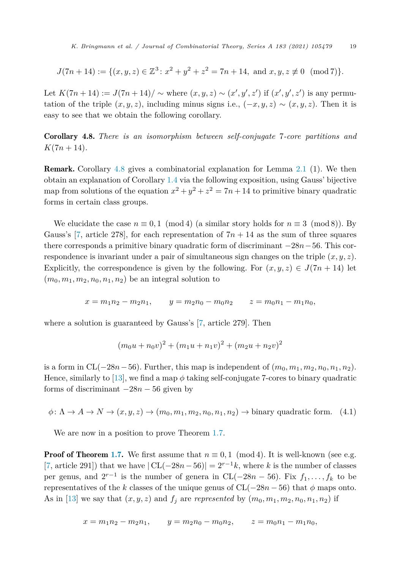<span id="page-18-0"></span>
$$
J(7n+14) := \{(x, y, z) \in \mathbb{Z}^3 : x^2 + y^2 + z^2 = 7n + 14, \text{ and } x, y, z \not\equiv 0 \pmod{7}\}.
$$

Let  $K(7n+14) := J(7n+14)/ \sim$  where  $(x, y, z) \sim (x', y', z')$  if  $(x', y', z')$  is any permutation of the triple  $(x, y, z)$ , including minus signs i.e.,  $(-x, y, z) \sim (x, y, z)$ . Then it is easy to see that we obtain the following corollary.

Corollary 4.8. *There is an isomorphism between self-conjugate* 7*-core partitions and*  $K(7n + 14)$ .

Remark. Corollary 4.8 gives a combinatorial explanation for Lemma [2.1](#page-6-0) (1). We then obtain an explanation of Corollary [1.4](#page-3-0) via the following exposition, using Gauss' bijective map from solutions of the equation  $x^2 + y^2 + z^2 = 7n + 14$  to primitive binary quadratic forms in certain class groups.

We elucidate the case  $n \equiv 0, 1 \pmod{4}$  (a similar story holds for  $n \equiv 3 \pmod{8}$ ). By Gauss's [[7,](#page-23-0) article 278], for each representation of  $7n + 14$  as the sum of three squares there corresponds a primitive binary quadratic form of discriminant −28*n*−56. This correspondence is invariant under a pair of simultaneous sign changes on the triple  $(x, y, z)$ . Explicitly, the correspondence is given by the following. For  $(x, y, z) \in J(7n + 14)$  let  $(m_0, m_1, m_2, n_0, n_1, n_2)$  be an integral solution to

$$
x = m_1 n_2 - m_2 n_1
$$
,  $y = m_2 n_0 - m_0 n_2$   $z = m_0 n_1 - m_1 n_0$ ,

where a solution is guaranteed by Gauss's [\[7,](#page-23-0) article 279]. Then

$$
(m_0u + n_0v)^2 + (m_1u + n_1v)^2 + (m_2u + n_2v)^2
$$

is a form in CL( $-28n-56$ ). Further, this map is independent of  $(m_0, m_1, m_2, n_0, n_1, n_2)$ . Hence, similarly to [\[13](#page-23-0)], we find a map *φ* taking self-conjugate 7-cores to binary quadratic forms of discriminant  $-28n - 56$  given by

$$
\phi \colon \Lambda \to A \to N \to (x, y, z) \to (m_0, m_1, m_2, n_0, n_1, n_2) \to \text{binary quadratic form.} \tag{4.1}
$$

We are now in a position to prove Theorem [1.7](#page-4-0).

**Proof of Theorem [1.7](#page-4-0).** We first assume that  $n \equiv 0, 1 \pmod{4}$ . It is well-known (see e.g. [\[7](#page-23-0), article 291]) that we have  $|\text{CL}(-28n-56)| = 2^{r-1}k$ , where *k* is the number of classes per genus, and  $2^{r-1}$  is the number of genera in CL(−28*n* − 56). Fix  $f_1, \ldots, f_k$  to be representatives of the *k* classes of the unique genus of  $CL(-28n - 56)$  that  $\phi$  maps onto. As in [\[13\]](#page-23-0) we say that  $(x, y, z)$  and  $f_j$  are *represented* by  $(m_0, m_1, m_2, n_0, n_1, n_2)$  if

$$
x=m_1n_2-m_2n_1, \qquad y=m_2n_0-m_0n_2, \qquad z=m_0n_1-m_1n_0,
$$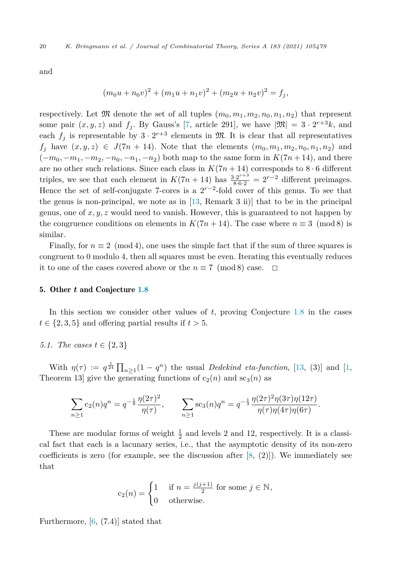<span id="page-19-0"></span>and

$$
(m_0u + n_0v)^2 + (m_1u + n_1v)^2 + (m_2u + n_2v)^2 = f_j,
$$

respectively. Let  $\mathfrak{M}$  denote the set of all tuples  $(m_0, m_1, m_2, n_0, n_1, n_2)$  that represent some pair  $(x, y, z)$  and  $f_i$ . By Gauss's [\[7,](#page-23-0) article 291], we have  $|\mathfrak{M}| = 3 \cdot 2^{r+3}k$ , and each  $f_i$  is representable by  $3 \cdot 2^{r+3}$  elements in  $\mathfrak{M}$ . It is clear that all representatives  $f_i$  have  $(x, y, z) \in J(7n + 14)$ . Note that the elements  $(m_0, m_1, m_2, n_0, n_1, n_2)$  and  $(-m_0, -m_1, -m_2, -n_0, -n_1, -n_2)$  both map to the same form in  $K(7n+14)$ , and there are no other such relations. Since each class in  $K(7n+14)$  corresponds to  $8 \cdot 6$  different triples, we see that each element in  $K(7n + 14)$  has  $\frac{3 \cdot 2^{r+3}}{8 \cdot 6 \cdot 2} = 2^{r-2}$  different preimages. Hence the set of self-conjugate 7-cores is a 2*<sup>r</sup>*−<sup>2</sup>-fold cover of this genus. To see that the genus is non-principal, we note as in  $[13,$  Remark 3 ii) that to be in the principal genus, one of *x, y, z* would need to vanish. However, this is guaranteed to not happen by the congruence conditions on elements in  $K(7n+14)$ . The case where  $n \equiv 3 \pmod{8}$  is similar.

Finally, for  $n \equiv 2 \pmod{4}$ , one uses the simple fact that if the sum of three squares is congruent to 0 modulo 4, then all squares must be even. Iterating this eventually reduces it to one of the cases covered above or the  $n \equiv 7 \pmod{8}$  case.  $\Box$ 

#### 5. Other *t* and Conjecture [1.8](#page-4-0)

In this section we consider other values of *t*, proving Conjecture [1.8](#page-4-0) in the cases  $t \in \{2, 3, 5\}$  and offering partial results if  $t > 5$ .

*5.1. The cases*  $t \in \{2, 3\}$ 

With  $\eta(\tau) := q^{\frac{1}{24}} \prod_{n \geq 1} (1 - q^n)$  the usual *Dedekind eta-function*, [\[13,](#page-23-0) (3)] and [[1,](#page-23-0) Theorem 13 give the generating functions of  $c_2(n)$  and  $sc_3(n)$  as

$$
\sum_{n\geq 1} c_2(n)q^n = q^{-\frac{1}{8}} \frac{\eta(2\tau)^2}{\eta(\tau)}, \qquad \sum_{n\geq 1} \text{sc}_3(n)q^n = q^{-\frac{1}{3}} \frac{\eta(2\tau)^2 \eta(3\tau) \eta(12\tau)}{\eta(\tau) \eta(4\tau) \eta(6\tau)}.
$$

These are modular forms of weight  $\frac{1}{2}$  and levels 2 and 12, respectively. It is a classical fact that each is a lacunary series, i.e., that the asymptotic density of its non-zero coefficients is zero (for example, see the discussion after  $[8, (2)]$  $[8, (2)]$  $[8, (2)]$ ). We immediately see that

$$
c_2(n) = \begin{cases} 1 & \text{if } n = \frac{j(j+1)}{2} \text{ for some } j \in \mathbb{N}, \\ 0 & \text{otherwise.} \end{cases}
$$

Furthermore,  $[6, (7.4)]$  $[6, (7.4)]$  stated that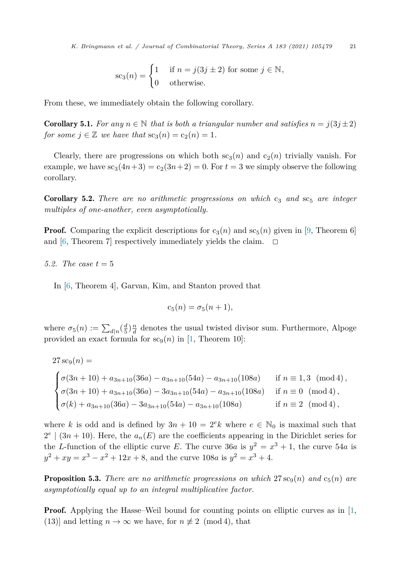<span id="page-20-0"></span>*K. Bringmann et al. / Journal of Combinatorial Theory, Series A 183 (2021) 105479* 21

$$
sc_3(n) = \begin{cases} 1 & \text{if } n = j(3j \pm 2) \text{ for some } j \in \mathbb{N}, \\ 0 & \text{otherwise.} \end{cases}
$$

From these, we immediately obtain the following corollary.

**Corollary 5.1.** *For any*  $n \in \mathbb{N}$  *that is both a triangular number and satisfies*  $n = j(3j \pm 2)$ *for some*  $j \in \mathbb{Z}$  *we have that*  $sc_3(n) = c_2(n) = 1$ *.* 

Clearly, there are progressions on which both  $sc_3(n)$  and  $c_2(n)$  trivially vanish. For example, we have  $\operatorname{sc}_3(4n+3) = \operatorname{c}_2(3n+2) = 0$ . For  $t = 3$  we simply observe the following corollary.

Corollary 5.2. *There are no arithmetic progressions on which* c<sup>3</sup> *and* sc<sup>5</sup> *are integer multiples of one-another, even asymptotically.*

**Proof.** Comparing the explicit descriptions for  $c_3(n)$  and  $sc_5(n)$  given in [\[9](#page-23-0), Theorem 6] and [[6,](#page-23-0) Theorem 7] respectively immediately yields the claim.  $\Box$ 

*5.2. The case*  $t = 5$ 

In [[6,](#page-23-0) Theorem 4], Garvan, Kim, and Stanton proved that

$$
c_5(n) = \sigma_5(n+1),
$$

where  $\sigma_5(n) := \sum_{d|n} (\frac{d}{5}) \frac{n}{d}$  denotes the usual twisted divisor sum. Furthermore, Alpoge provided an exact formula for  $\operatorname{sc}_9(n)$  in [\[1](#page-23-0), Theorem 10]:

$$
27 \operatorname{sc}_9(n) =
$$
\n
$$
\begin{cases}\n\sigma(3n+10) + a_{3n+10}(36a) - a_{3n+10}(54a) - a_{3n+10}(108a) & \text{if } n \equiv 1,3 \pmod{4}, \\
\sigma(3n+10) + a_{3n+10}(36a) - 3a_{3n+10}(54a) - a_{3n+10}(108a) & \text{if } n \equiv 0 \pmod{4}, \\
\sigma(k) + a_{3n+10}(36a) - 3a_{3n+10}(54a) - a_{3n+10}(108a) & \text{if } n \equiv 2 \pmod{4},\n\end{cases}
$$

where *k* is odd and is defined by  $3n + 10 = 2^e k$  where  $e \in \mathbb{N}_0$  is maximal such that  $2^e$  |  $(3n+10)$ . Here, the  $a_n(E)$  are the coefficients appearing in the Dirichlet series for the *L*-function of the elliptic curve *E*. The curve  $36a$  is  $y^2 = x^3 + 1$ , the curve  $54a$  is  $y^{2} + xy = x^{3} - x^{2} + 12x + 8$ , and the curve 108*a* is  $y^{2} = x^{3} + 4$ .

**Proposition 5.3.** *There are no arithmetic progressions on which*  $27 \text{ sc}_9(n)$  *and*  $c_5(n)$  *are asymptotically equal up to an integral multiplicative factor.*

**Proof.** Applying the Hasse–Weil bound for counting points on elliptic curves as in  $\left[1, \right]$  $\left[1, \right]$  $\left[1, \right]$ (13)] and letting  $n \to \infty$  we have, for  $n \not\equiv 2 \pmod{4}$ , that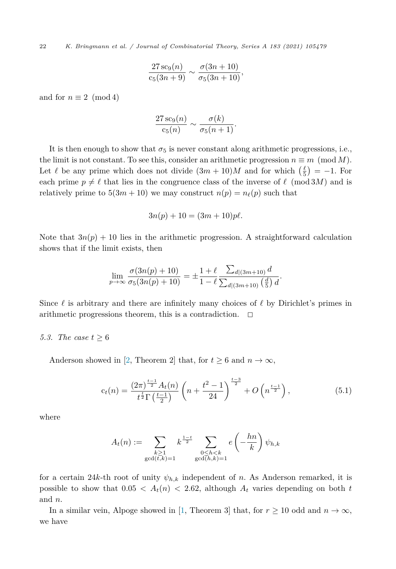<span id="page-21-0"></span>22 *K. Bringmann et al. / Journal of Combinatorial Theory, Series A 183 (2021) 105479*

$$
\frac{27 \text{ sc}_9(n)}{c_5(3n+9)} \sim \frac{\sigma(3n+10)}{\sigma_5(3n+10)},
$$

and for  $n \equiv 2 \pmod{4}$ 

$$
\frac{27 \operatorname{sc}_9(n)}{\operatorname{c}_5(n)} \sim \frac{\sigma(k)}{\sigma_5(n+1)}.
$$

It is then enough to show that  $\sigma_5$  is never constant along arithmetic progressions, i.e., the limit is not constant. To see this, consider an arithmetic progression  $n \equiv m \pmod{M}$ . Let  $\ell$  be any prime which does not divide  $(3m+10)M$  and for which  $(\frac{\ell}{5}) = -1$ . For each prime  $p \neq \ell$  that lies in the congruence class of the inverse of  $\ell \pmod{3M}$  and is relatively prime to  $5(3m + 10)$  we may construct  $n(p) = n_{\ell}(p)$  such that

$$
3n(p) + 10 = (3m + 10)p\ell.
$$

Note that  $3n(p) + 10$  lies in the arithmetic progression. A straightforward calculation shows that if the limit exists, then

$$
\lim_{p \to \infty} \frac{\sigma(3n(p) + 10)}{\sigma_5(3n(p) + 10)} = \pm \frac{1 + \ell}{1 - \ell} \frac{\sum_{d|(3m+10)} d}{\sum_{d|(3m+10)} \left(\frac{d}{5}\right) d}.
$$

Since  $\ell$  is arbitrary and there are infinitely many choices of  $\ell$  by Dirichlet's primes in arithmetic progressions theorem, this is a contradiction.  $\Box$ 

#### *5.3. The case*  $t \geq 6$

Anderson showed in [\[2,](#page-23-0) Theorem 2] that, for  $t \geq 6$  and  $n \to \infty$ ,

$$
c_t(n) = \frac{(2\pi)^{\frac{t-1}{2}}A_t(n)}{t^{\frac{t}{2}}\Gamma(\frac{t-1}{2})}\left(n + \frac{t^2 - 1}{24}\right)^{\frac{t-3}{2}} + O\left(n^{\frac{t-1}{2}}\right),\tag{5.1}
$$

where

$$
A_t(n) := \sum_{\substack{k \geq 1 \\ \gcd(t,k)=1}} k^{\frac{1-t}{2}} \sum_{\substack{0 \leq h < k \\ \gcd(h,k)=1}} e\left(-\frac{hn}{k}\right) \psi_{h,k}
$$

for a certain 24*k*-th root of unity *ψh,k* independent of *n*. As Anderson remarked, it is possible to show that  $0.05 < A_t(n) < 2.62$ , although  $A_t$  varies depending on both t and *n*.

In a similar vein, Alpoge showed in [[1,](#page-23-0) Theorem 3] that, for  $r \ge 10$  odd and  $n \to \infty$ , we have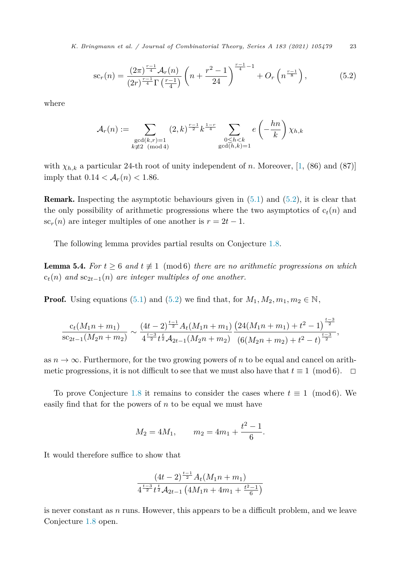*K. Bringmann et al. / Journal of Combinatorial Theory, Series A 183 (2021) 105479* 23

$$
sc_r(n) = \frac{(2\pi)^{\frac{r-1}{4}}\mathcal{A}_r(n)}{(2r)^{\frac{r-1}{4}}\Gamma(\frac{r-1}{4})}\left(n + \frac{r^2 - 1}{24}\right)^{\frac{r-1}{4} - 1} + O_r\left(n^{\frac{r-1}{8}}\right),\tag{5.2}
$$

where

$$
\mathcal{A}_r(n) := \sum_{\substack{\gcd(k,r)=1\\k \not\equiv 2 \pmod{4}}} (2,k)^{\frac{r-1}{2}} k^{\frac{1-r}{4}} \sum_{\substack{0 \le h < k\\ \gcd(h,k)=1}} e\left(-\frac{hn}{k}\right) \chi_{h,k}
$$

with  $\chi_{h,k}$  a particular 24-th root of unity independent of *n*. Moreover, [\[1](#page-23-0), (86) and (87)] imply that  $0.14 < A_r(n) < 1.86$ .

**Remark.** Inspecting the asymptotic behaviours given in  $(5.1)$  $(5.1)$  $(5.1)$  and  $(5.2)$ , it is clear that the only possibility of arithmetic progressions where the two asymptotics of  $c_t(n)$  and  $\operatorname{sc}_r(n)$  are integer multiples of one another is  $r = 2t - 1$ .

The following lemma provides partial results on Conjecture [1.8](#page-4-0).

**Lemma 5.4.** For  $t \geq 6$  and  $t \neq 1 \pmod{6}$  there are no arithmetic progressions on which  $c_t(n)$  *and*  $\sec_{2t-1}(n)$  *are integer multiples of one another.* 

**Proof.** Using equations [\(5.1](#page-21-0)) and (5.2) we find that, for  $M_1, M_2, m_1, m_2 \in \mathbb{N}$ ,

$$
\frac{c_t(M_1n+m_1)}{sc_{2t-1}(M_2n+m_2)} \sim \frac{(4t-2)^{\frac{t-1}{2}}A_t(M_1n+m_1)}{4^{\frac{t-3}{2}}t^{\frac{t}{2}}A_{2t-1}(M_2n+m_2)} \frac{(24(M_1n+m_1)+t^2-1)^{\frac{t-3}{2}}}{(6(M_2n+m_2)+t^2-t)^{\frac{t-3}{2}}},
$$

as  $n \to \infty$ . Furthermore, for the two growing powers of *n* to be equal and cancel on arithmetic progressions, it is not difficult to see that we must also have that  $t \equiv 1 \pmod{6}$ .  $\Box$ 

To prove Conjecture [1.8](#page-4-0) it remains to consider the cases where  $t \equiv 1 \pmod{6}$ . We easily find that for the powers of *n* to be equal we must have

$$
M_2 = 4M_1, \qquad m_2 = 4m_1 + \frac{t^2 - 1}{6}.
$$

It would therefore suffice to show that

$$
\frac{\left(4t-2\right)^{\frac{t-1}{2}}A_t(M_1n+m_1)}{4^{\frac{t-3}{2}}t^{\frac{t}{2}}A_{2t-1}\left(4M_1n+4m_1+\frac{t^2-1}{6}\right)}
$$

is never constant as *n* runs. However, this appears to be a difficult problem, and we leave Conjecture [1.8](#page-4-0) open.